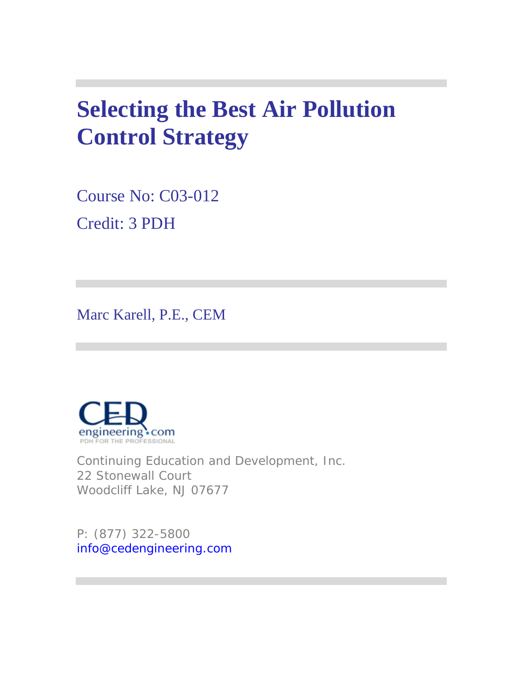# **Selecting the Best Air Pollution Control Strategy**

Course No: C03-012 Credit: 3 PDH

Marc Karell, P.E., CEM



Continuing Education and Development, Inc. 22 Stonewall Court Woodcliff Lake, NJ 07677

P: (877) 322-5800 info@cedengineering.com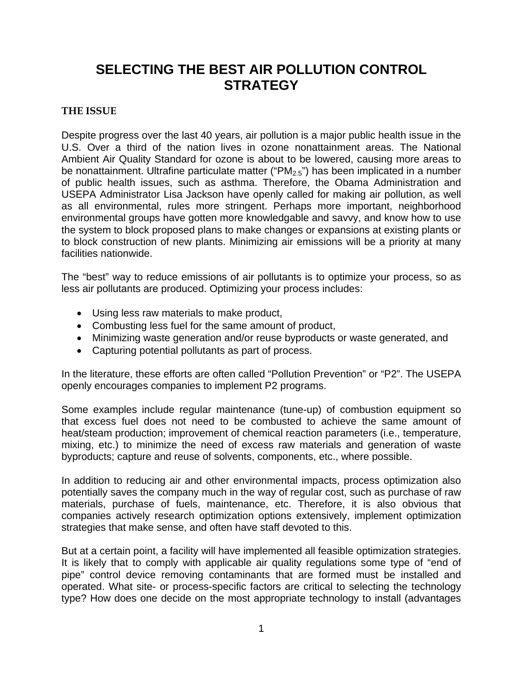## **SELECTING THE BEST AIR POLLUTION CONTROL STRATEGY**

#### **THE ISSUE**

Despite progress over the last 40 years, air pollution is a major public health issue in the U.S. Over a third of the nation lives in ozone nonattainment areas. The National Ambient Air Quality Standard for ozone is about to be lowered, causing more areas to be nonattainment. Ultrafine particulate matter (" $PM_{2.5}$ ") has been implicated in a number of public health issues, such as asthma. Therefore, the Obama Administration and USEPA Administrator Lisa Jackson have openly called for making air pollution, as well as all environmental, rules more stringent. Perhaps more important, neighborhood environmental groups have gotten more knowledgable and savvy, and know how to use the system to block proposed plans to make changes or expansions at existing plants or to block construction of new plants. Minimizing air emissions will be a priority at many facilities nationwide.

The "best" way to reduce emissions of air pollutants is to optimize your process, so as less air pollutants are produced. Optimizing your process includes:

- Using less raw materials to make product,
- Combusting less fuel for the same amount of product,
- Minimizing waste generation and/or reuse byproducts or waste generated, and
- Capturing potential pollutants as part of process.

In the literature, these efforts are often called "Pollution Prevention" or "P2". The USEPA openly encourages companies to implement P2 programs.

Some examples include regular maintenance (tune-up) of combustion equipment so that excess fuel does not need to be combusted to achieve the same amount of heat/steam production; improvement of chemical reaction parameters (i.e., temperature, mixing, etc.) to minimize the need of excess raw materials and generation of waste byproducts; capture and reuse of solvents, components, etc., where possible.

In addition to reducing air and other environmental impacts, process optimization also potentially saves the company much in the way of regular cost, such as purchase of raw materials, purchase of fuels, maintenance, etc. Therefore, it is also obvious that companies actively research optimization options extensively, implement optimization strategies that make sense, and often have staff devoted to this.

But at a certain point, a facility will have implemented all feasible optimization strategies. It is likely that to comply with applicable air quality regulations some type of "end of pipe" control device removing contaminants that are formed must be installed and operated. What site- or process-specific factors are critical to selecting the technology type? How does one decide on the most appropriate technology to install (advantages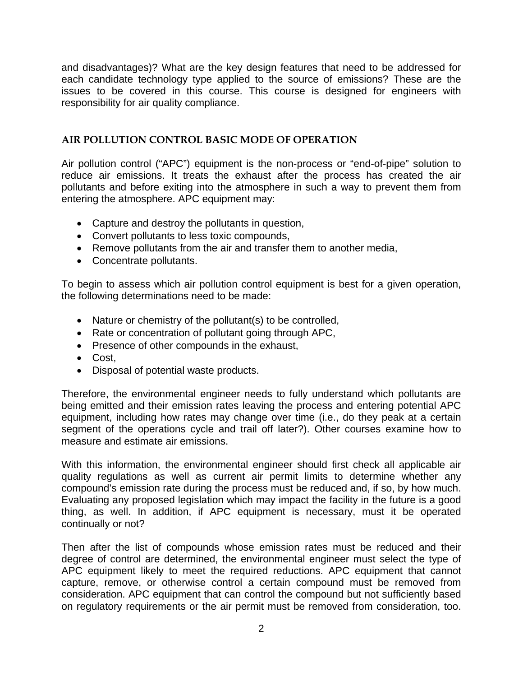and disadvantages)? What are the key design features that need to be addressed for each candidate technology type applied to the source of emissions? These are the issues to be covered in this course. This course is designed for engineers with responsibility for air quality compliance.

#### **AIR POLLUTION CONTROL BASIC MODE OF OPERATION**

Air pollution control ("APC") equipment is the non-process or "end-of-pipe" solution to reduce air emissions. It treats the exhaust after the process has created the air pollutants and before exiting into the atmosphere in such a way to prevent them from entering the atmosphere. APC equipment may:

- Capture and destroy the pollutants in question,
- Convert pollutants to less toxic compounds,
- Remove pollutants from the air and transfer them to another media,
- Concentrate pollutants.

To begin to assess which air pollution control equipment is best for a given operation, the following determinations need to be made:

- Nature or chemistry of the pollutant(s) to be controlled,
- Rate or concentration of pollutant going through APC,
- Presence of other compounds in the exhaust,
- Cost,
- Disposal of potential waste products.

Therefore, the environmental engineer needs to fully understand which pollutants are being emitted and their emission rates leaving the process and entering potential APC equipment, including how rates may change over time (i.e., do they peak at a certain segment of the operations cycle and trail off later?). Other courses examine how to measure and estimate air emissions.

With this information, the environmental engineer should first check all applicable air quality regulations as well as current air permit limits to determine whether any compound's emission rate during the process must be reduced and, if so, by how much. Evaluating any proposed legislation which may impact the facility in the future is a good thing, as well. In addition, if APC equipment is necessary, must it be operated continually or not?

Then after the list of compounds whose emission rates must be reduced and their degree of control are determined, the environmental engineer must select the type of APC equipment likely to meet the required reductions. APC equipment that cannot capture, remove, or otherwise control a certain compound must be removed from consideration. APC equipment that can control the compound but not sufficiently based on regulatory requirements or the air permit must be removed from consideration, too.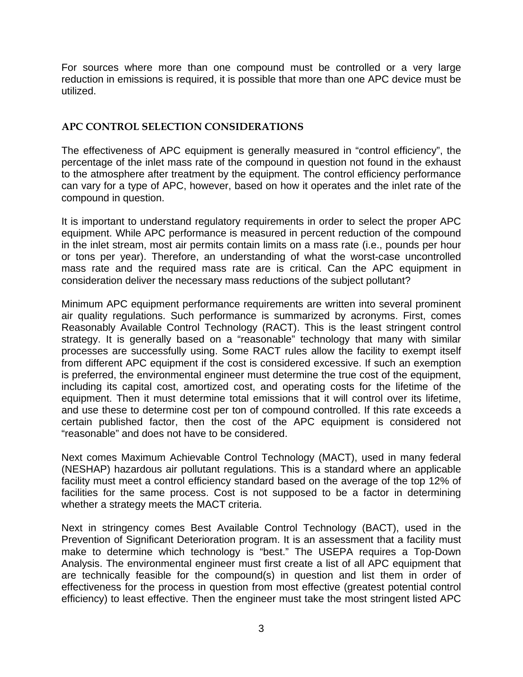For sources where more than one compound must be controlled or a very large reduction in emissions is required, it is possible that more than one APC device must be utilized.

#### **APC CONTROL SELECTION CONSIDERATIONS**

The effectiveness of APC equipment is generally measured in "control efficiency", the percentage of the inlet mass rate of the compound in question not found in the exhaust to the atmosphere after treatment by the equipment. The control efficiency performance can vary for a type of APC, however, based on how it operates and the inlet rate of the compound in question.

It is important to understand regulatory requirements in order to select the proper APC equipment. While APC performance is measured in percent reduction of the compound in the inlet stream, most air permits contain limits on a mass rate (i.e., pounds per hour or tons per year). Therefore, an understanding of what the worst-case uncontrolled mass rate and the required mass rate are is critical. Can the APC equipment in consideration deliver the necessary mass reductions of the subject pollutant?

Minimum APC equipment performance requirements are written into several prominent air quality regulations. Such performance is summarized by acronyms. First, comes Reasonably Available Control Technology (RACT). This is the least stringent control strategy. It is generally based on a "reasonable" technology that many with similar processes are successfully using. Some RACT rules allow the facility to exempt itself from different APC equipment if the cost is considered excessive. If such an exemption is preferred, the environmental engineer must determine the true cost of the equipment, including its capital cost, amortized cost, and operating costs for the lifetime of the equipment. Then it must determine total emissions that it will control over its lifetime, and use these to determine cost per ton of compound controlled. If this rate exceeds a certain published factor, then the cost of the APC equipment is considered not "reasonable" and does not have to be considered.

Next comes Maximum Achievable Control Technology (MACT), used in many federal (NESHAP) hazardous air pollutant regulations. This is a standard where an applicable facility must meet a control efficiency standard based on the average of the top 12% of facilities for the same process. Cost is not supposed to be a factor in determining whether a strategy meets the MACT criteria.

Next in stringency comes Best Available Control Technology (BACT), used in the Prevention of Significant Deterioration program. It is an assessment that a facility must make to determine which technology is "best." The USEPA requires a Top-Down Analysis. The environmental engineer must first create a list of all APC equipment that are technically feasible for the compound(s) in question and list them in order of effectiveness for the process in question from most effective (greatest potential control efficiency) to least effective. Then the engineer must take the most stringent listed APC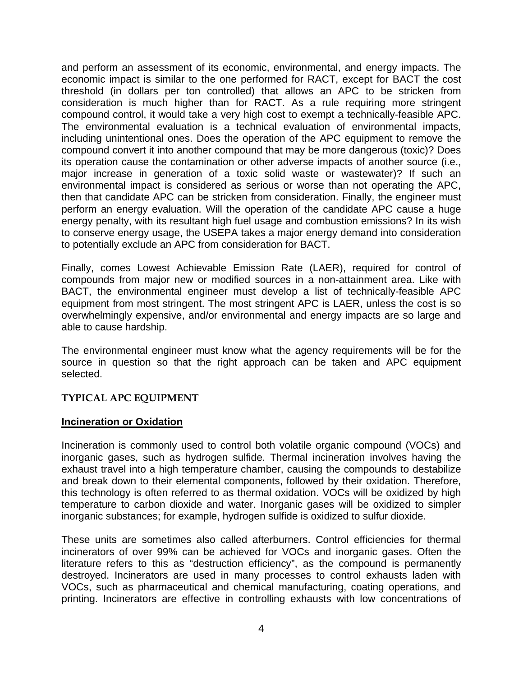and perform an assessment of its economic, environmental, and energy impacts. The economic impact is similar to the one performed for RACT, except for BACT the cost threshold (in dollars per ton controlled) that allows an APC to be stricken from consideration is much higher than for RACT. As a rule requiring more stringent compound control, it would take a very high cost to exempt a technically-feasible APC. The environmental evaluation is a technical evaluation of environmental impacts, including unintentional ones. Does the operation of the APC equipment to remove the compound convert it into another compound that may be more dangerous (toxic)? Does its operation cause the contamination or other adverse impacts of another source (i.e., major increase in generation of a toxic solid waste or wastewater)? If such an environmental impact is considered as serious or worse than not operating the APC, then that candidate APC can be stricken from consideration. Finally, the engineer must perform an energy evaluation. Will the operation of the candidate APC cause a huge energy penalty, with its resultant high fuel usage and combustion emissions? In its wish to conserve energy usage, the USEPA takes a major energy demand into consideration to potentially exclude an APC from consideration for BACT.

Finally, comes Lowest Achievable Emission Rate (LAER), required for control of compounds from major new or modified sources in a non-attainment area. Like with BACT, the environmental engineer must develop a list of technically-feasible APC equipment from most stringent. The most stringent APC is LAER, unless the cost is so overwhelmingly expensive, and/or environmental and energy impacts are so large and able to cause hardship.

The environmental engineer must know what the agency requirements will be for the source in question so that the right approach can be taken and APC equipment selected.

#### **TYPICAL APC EQUIPMENT**

#### **Incineration or Oxidation**

Incineration is commonly used to control both volatile organic compound (VOCs) and inorganic gases, such as hydrogen sulfide. Thermal incineration involves having the exhaust travel into a high temperature chamber, causing the compounds to destabilize and break down to their elemental components, followed by their oxidation. Therefore, this technology is often referred to as thermal oxidation. VOCs will be oxidized by high temperature to carbon dioxide and water. Inorganic gases will be oxidized to simpler inorganic substances; for example, hydrogen sulfide is oxidized to sulfur dioxide.

These units are sometimes also called afterburners. Control efficiencies for thermal incinerators of over 99% can be achieved for VOCs and inorganic gases. Often the literature refers to this as "destruction efficiency", as the compound is permanently destroyed. Incinerators are used in many processes to control exhausts laden with VOCs, such as pharmaceutical and chemical manufacturing, coating operations, and printing. Incinerators are effective in controlling exhausts with low concentrations of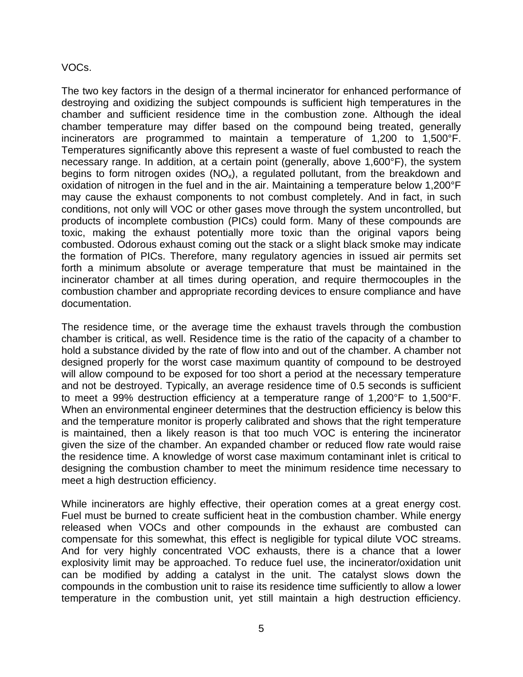#### VOCs.

The two key factors in the design of a thermal incinerator for enhanced performance of destroying and oxidizing the subject compounds is sufficient high temperatures in the chamber and sufficient residence time in the combustion zone. Although the ideal chamber temperature may differ based on the compound being treated, generally incinerators are programmed to maintain a temperature of 1,200 to 1,500°F. Temperatures significantly above this represent a waste of fuel combusted to reach the necessary range. In addition, at a certain point (generally, above 1,600°F), the system begins to form nitrogen oxides  $(NO_x)$ , a regulated pollutant, from the breakdown and oxidation of nitrogen in the fuel and in the air. Maintaining a temperature below 1,200°F may cause the exhaust components to not combust completely. And in fact, in such conditions, not only will VOC or other gases move through the system uncontrolled, but products of incomplete combustion (PICs) could form. Many of these compounds are toxic, making the exhaust potentially more toxic than the original vapors being combusted. Odorous exhaust coming out the stack or a slight black smoke may indicate the formation of PICs. Therefore, many regulatory agencies in issued air permits set forth a minimum absolute or average temperature that must be maintained in the incinerator chamber at all times during operation, and require thermocouples in the combustion chamber and appropriate recording devices to ensure compliance and have documentation.

The residence time, or the average time the exhaust travels through the combustion chamber is critical, as well. Residence time is the ratio of the capacity of a chamber to hold a substance divided by the rate of flow into and out of the chamber. A chamber not designed properly for the worst case maximum quantity of compound to be destroyed will allow compound to be exposed for too short a period at the necessary temperature and not be destroyed. Typically, an average residence time of 0.5 seconds is sufficient to meet a 99% destruction efficiency at a temperature range of 1,200°F to 1,500°F. When an environmental engineer determines that the destruction efficiency is below this and the temperature monitor is properly calibrated and shows that the right temperature is maintained, then a likely reason is that too much VOC is entering the incinerator given the size of the chamber. An expanded chamber or reduced flow rate would raise the residence time. A knowledge of worst case maximum contaminant inlet is critical to designing the combustion chamber to meet the minimum residence time necessary to meet a high destruction efficiency.

While incinerators are highly effective, their operation comes at a great energy cost. Fuel must be burned to create sufficient heat in the combustion chamber. While energy released when VOCs and other compounds in the exhaust are combusted can compensate for this somewhat, this effect is negligible for typical dilute VOC streams. And for very highly concentrated VOC exhausts, there is a chance that a lower explosivity limit may be approached. To reduce fuel use, the incinerator/oxidation unit can be modified by adding a catalyst in the unit. The catalyst slows down the compounds in the combustion unit to raise its residence time sufficiently to allow a lower temperature in the combustion unit, yet still maintain a high destruction efficiency.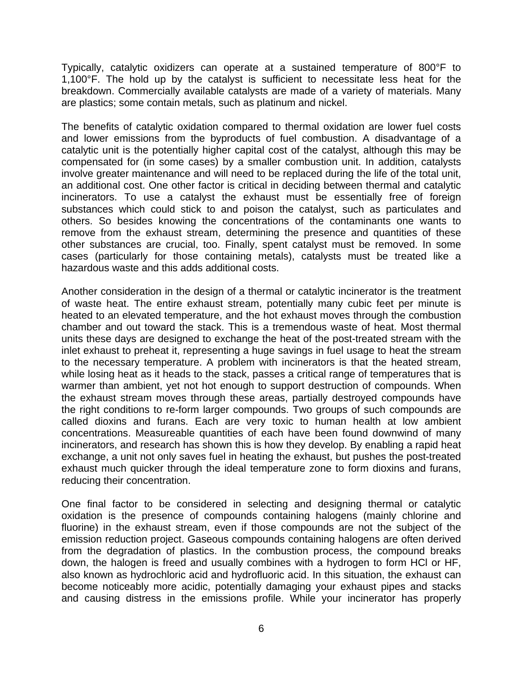Typically, catalytic oxidizers can operate at a sustained temperature of 800°F to 1,100°F. The hold up by the catalyst is sufficient to necessitate less heat for the breakdown. Commercially available catalysts are made of a variety of materials. Many are plastics; some contain metals, such as platinum and nickel.

The benefits of catalytic oxidation compared to thermal oxidation are lower fuel costs and lower emissions from the byproducts of fuel combustion. A disadvantage of a catalytic unit is the potentially higher capital cost of the catalyst, although this may be compensated for (in some cases) by a smaller combustion unit. In addition, catalysts involve greater maintenance and will need to be replaced during the life of the total unit, an additional cost. One other factor is critical in deciding between thermal and catalytic incinerators. To use a catalyst the exhaust must be essentially free of foreign substances which could stick to and poison the catalyst, such as particulates and others. So besides knowing the concentrations of the contaminants one wants to remove from the exhaust stream, determining the presence and quantities of these other substances are crucial, too. Finally, spent catalyst must be removed. In some cases (particularly for those containing metals), catalysts must be treated like a hazardous waste and this adds additional costs.

Another consideration in the design of a thermal or catalytic incinerator is the treatment of waste heat. The entire exhaust stream, potentially many cubic feet per minute is heated to an elevated temperature, and the hot exhaust moves through the combustion chamber and out toward the stack. This is a tremendous waste of heat. Most thermal units these days are designed to exchange the heat of the post-treated stream with the inlet exhaust to preheat it, representing a huge savings in fuel usage to heat the stream to the necessary temperature. A problem with incinerators is that the heated stream, while losing heat as it heads to the stack, passes a critical range of temperatures that is warmer than ambient, yet not hot enough to support destruction of compounds. When the exhaust stream moves through these areas, partially destroyed compounds have the right conditions to re-form larger compounds. Two groups of such compounds are called dioxins and furans. Each are very toxic to human health at low ambient concentrations. Measureable quantities of each have been found downwind of many incinerators, and research has shown this is how they develop. By enabling a rapid heat exchange, a unit not only saves fuel in heating the exhaust, but pushes the post-treated exhaust much quicker through the ideal temperature zone to form dioxins and furans, reducing their concentration.

One final factor to be considered in selecting and designing thermal or catalytic oxidation is the presence of compounds containing halogens (mainly chlorine and fluorine) in the exhaust stream, even if those compounds are not the subject of the emission reduction project. Gaseous compounds containing halogens are often derived from the degradation of plastics. In the combustion process, the compound breaks down, the halogen is freed and usually combines with a hydrogen to form HCl or HF, also known as hydrochloric acid and hydrofluoric acid. In this situation, the exhaust can become noticeably more acidic, potentially damaging your exhaust pipes and stacks and causing distress in the emissions profile. While your incinerator has properly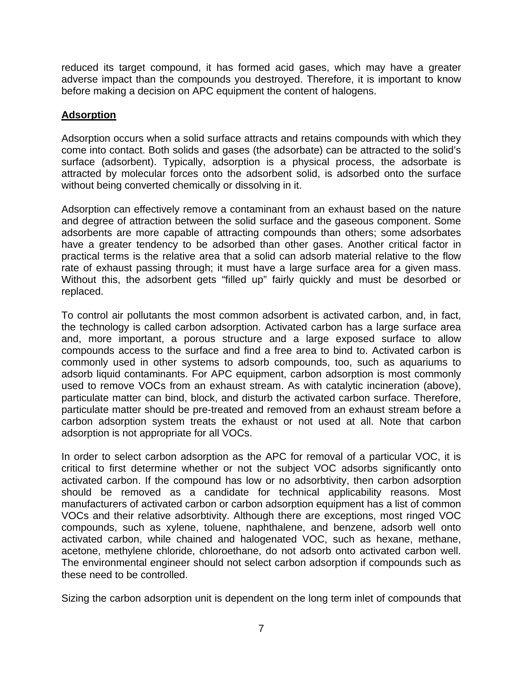reduced its target compound, it has formed acid gases, which may have a greater adverse impact than the compounds you destroyed. Therefore, it is important to know before making a decision on APC equipment the content of halogens.

#### **Adsorption**

Adsorption occurs when a solid surface attracts and retains compounds with which they come into contact. Both solids and gases (the adsorbate) can be attracted to the solid's surface (adsorbent). Typically, adsorption is a physical process, the adsorbate is attracted by molecular forces onto the adsorbent solid, is adsorbed onto the surface without being converted chemically or dissolving in it.

Adsorption can effectively remove a contaminant from an exhaust based on the nature and degree of attraction between the solid surface and the gaseous component. Some adsorbents are more capable of attracting compounds than others; some adsorbates have a greater tendency to be adsorbed than other gases. Another critical factor in practical terms is the relative area that a solid can adsorb material relative to the flow rate of exhaust passing through; it must have a large surface area for a given mass. Without this, the adsorbent gets "filled up" fairly quickly and must be desorbed or replaced.

To control air pollutants the most common adsorbent is activated carbon, and, in fact, the technology is called carbon adsorption. Activated carbon has a large surface area and, more important, a porous structure and a large exposed surface to allow compounds access to the surface and find a free area to bind to. Activated carbon is commonly used in other systems to adsorb compounds, too, such as aquariums to adsorb liquid contaminants. For APC equipment, carbon adsorption is most commonly used to remove VOCs from an exhaust stream. As with catalytic incineration (above), particulate matter can bind, block, and disturb the activated carbon surface. Therefore, particulate matter should be pre-treated and removed from an exhaust stream before a carbon adsorption system treats the exhaust or not used at all. Note that carbon adsorption is not appropriate for all VOCs.

In order to select carbon adsorption as the APC for removal of a particular VOC, it is critical to first determine whether or not the subject VOC adsorbs significantly onto activated carbon. If the compound has low or no adsorbtivity, then carbon adsorption should be removed as a candidate for technical applicability reasons. Most manufacturers of activated carbon or carbon adsorption equipment has a list of common VOCs and their relative adsorbtivity. Although there are exceptions, most ringed VOC compounds, such as xylene, toluene, naphthalene, and benzene, adsorb well onto activated carbon, while chained and halogenated VOC, such as hexane, methane, acetone, methylene chloride, chloroethane, do not adsorb onto activated carbon well. The environmental engineer should not select carbon adsorption if compounds such as these need to be controlled.

Sizing the carbon adsorption unit is dependent on the long term inlet of compounds that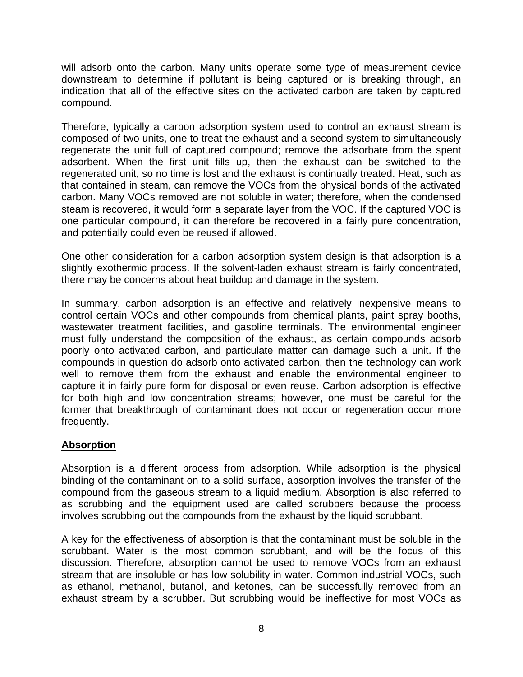will adsorb onto the carbon. Many units operate some type of measurement device downstream to determine if pollutant is being captured or is breaking through, an indication that all of the effective sites on the activated carbon are taken by captured compound.

Therefore, typically a carbon adsorption system used to control an exhaust stream is composed of two units, one to treat the exhaust and a second system to simultaneously regenerate the unit full of captured compound; remove the adsorbate from the spent adsorbent. When the first unit fills up, then the exhaust can be switched to the regenerated unit, so no time is lost and the exhaust is continually treated. Heat, such as that contained in steam, can remove the VOCs from the physical bonds of the activated carbon. Many VOCs removed are not soluble in water; therefore, when the condensed steam is recovered, it would form a separate layer from the VOC. If the captured VOC is one particular compound, it can therefore be recovered in a fairly pure concentration, and potentially could even be reused if allowed.

One other consideration for a carbon adsorption system design is that adsorption is a slightly exothermic process. If the solvent-laden exhaust stream is fairly concentrated, there may be concerns about heat buildup and damage in the system.

In summary, carbon adsorption is an effective and relatively inexpensive means to control certain VOCs and other compounds from chemical plants, paint spray booths, wastewater treatment facilities, and gasoline terminals. The environmental engineer must fully understand the composition of the exhaust, as certain compounds adsorb poorly onto activated carbon, and particulate matter can damage such a unit. If the compounds in question do adsorb onto activated carbon, then the technology can work well to remove them from the exhaust and enable the environmental engineer to capture it in fairly pure form for disposal or even reuse. Carbon adsorption is effective for both high and low concentration streams; however, one must be careful for the former that breakthrough of contaminant does not occur or regeneration occur more frequently.

#### **Absorption**

Absorption is a different process from adsorption. While adsorption is the physical binding of the contaminant on to a solid surface, absorption involves the transfer of the compound from the gaseous stream to a liquid medium. Absorption is also referred to as scrubbing and the equipment used are called scrubbers because the process involves scrubbing out the compounds from the exhaust by the liquid scrubbant.

A key for the effectiveness of absorption is that the contaminant must be soluble in the scrubbant. Water is the most common scrubbant, and will be the focus of this discussion. Therefore, absorption cannot be used to remove VOCs from an exhaust stream that are insoluble or has low solubility in water. Common industrial VOCs, such as ethanol, methanol, butanol, and ketones, can be successfully removed from an exhaust stream by a scrubber. But scrubbing would be ineffective for most VOCs as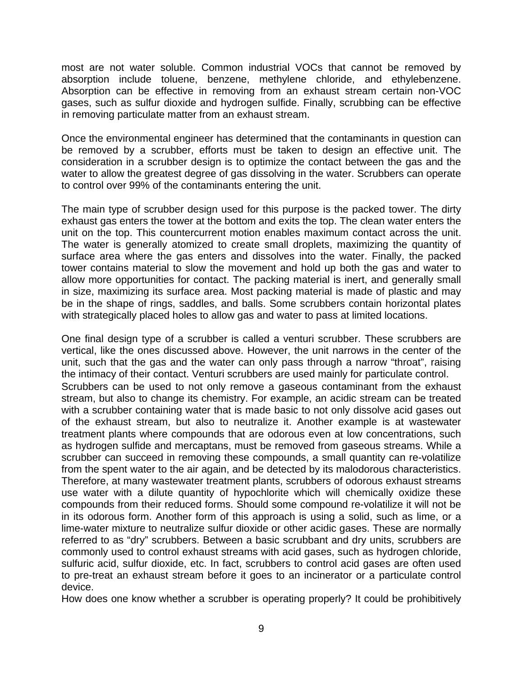most are not water soluble. Common industrial VOCs that cannot be removed by absorption include toluene, benzene, methylene chloride, and ethylebenzene. Absorption can be effective in removing from an exhaust stream certain non-VOC gases, such as sulfur dioxide and hydrogen sulfide. Finally, scrubbing can be effective in removing particulate matter from an exhaust stream.

Once the environmental engineer has determined that the contaminants in question can be removed by a scrubber, efforts must be taken to design an effective unit. The consideration in a scrubber design is to optimize the contact between the gas and the water to allow the greatest degree of gas dissolving in the water. Scrubbers can operate to control over 99% of the contaminants entering the unit.

The main type of scrubber design used for this purpose is the packed tower. The dirty exhaust gas enters the tower at the bottom and exits the top. The clean water enters the unit on the top. This countercurrent motion enables maximum contact across the unit. The water is generally atomized to create small droplets, maximizing the quantity of surface area where the gas enters and dissolves into the water. Finally, the packed tower contains material to slow the movement and hold up both the gas and water to allow more opportunities for contact. The packing material is inert, and generally small in size, maximizing its surface area. Most packing material is made of plastic and may be in the shape of rings, saddles, and balls. Some scrubbers contain horizontal plates with strategically placed holes to allow gas and water to pass at limited locations.

One final design type of a scrubber is called a venturi scrubber. These scrubbers are vertical, like the ones discussed above. However, the unit narrows in the center of the unit, such that the gas and the water can only pass through a narrow "throat", raising the intimacy of their contact. Venturi scrubbers are used mainly for particulate control. Scrubbers can be used to not only remove a gaseous contaminant from the exhaust stream, but also to change its chemistry. For example, an acidic stream can be treated with a scrubber containing water that is made basic to not only dissolve acid gases out of the exhaust stream, but also to neutralize it. Another example is at wastewater treatment plants where compounds that are odorous even at low concentrations, such as hydrogen sulfide and mercaptans, must be removed from gaseous streams. While a scrubber can succeed in removing these compounds, a small quantity can re-volatilize from the spent water to the air again, and be detected by its malodorous characteristics. Therefore, at many wastewater treatment plants, scrubbers of odorous exhaust streams use water with a dilute quantity of hypochlorite which will chemically oxidize these compounds from their reduced forms. Should some compound re-volatilize it will not be in its odorous form. Another form of this approach is using a solid, such as lime, or a lime-water mixture to neutralize sulfur dioxide or other acidic gases. These are normally referred to as "dry" scrubbers. Between a basic scrubbant and dry units, scrubbers are commonly used to control exhaust streams with acid gases, such as hydrogen chloride, sulfuric acid, sulfur dioxide, etc. In fact, scrubbers to control acid gases are often used to pre-treat an exhaust stream before it goes to an incinerator or a particulate control device.

How does one know whether a scrubber is operating properly? It could be prohibitively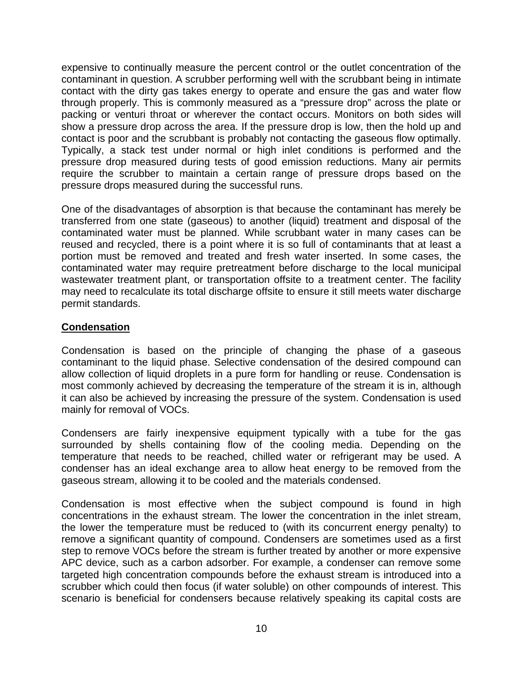expensive to continually measure the percent control or the outlet concentration of the contaminant in question. A scrubber performing well with the scrubbant being in intimate contact with the dirty gas takes energy to operate and ensure the gas and water flow through properly. This is commonly measured as a "pressure drop" across the plate or packing or venturi throat or wherever the contact occurs. Monitors on both sides will show a pressure drop across the area. If the pressure drop is low, then the hold up and contact is poor and the scrubbant is probably not contacting the gaseous flow optimally. Typically, a stack test under normal or high inlet conditions is performed and the pressure drop measured during tests of good emission reductions. Many air permits require the scrubber to maintain a certain range of pressure drops based on the pressure drops measured during the successful runs.

One of the disadvantages of absorption is that because the contaminant has merely be transferred from one state (gaseous) to another (liquid) treatment and disposal of the contaminated water must be planned. While scrubbant water in many cases can be reused and recycled, there is a point where it is so full of contaminants that at least a portion must be removed and treated and fresh water inserted. In some cases, the contaminated water may require pretreatment before discharge to the local municipal wastewater treatment plant, or transportation offsite to a treatment center. The facility may need to recalculate its total discharge offsite to ensure it still meets water discharge permit standards.

#### **Condensation**

Condensation is based on the principle of changing the phase of a gaseous contaminant to the liquid phase. Selective condensation of the desired compound can allow collection of liquid droplets in a pure form for handling or reuse. Condensation is most commonly achieved by decreasing the temperature of the stream it is in, although it can also be achieved by increasing the pressure of the system. Condensation is used mainly for removal of VOCs.

Condensers are fairly inexpensive equipment typically with a tube for the gas surrounded by shells containing flow of the cooling media. Depending on the temperature that needs to be reached, chilled water or refrigerant may be used. A condenser has an ideal exchange area to allow heat energy to be removed from the gaseous stream, allowing it to be cooled and the materials condensed.

Condensation is most effective when the subject compound is found in high concentrations in the exhaust stream. The lower the concentration in the inlet stream, the lower the temperature must be reduced to (with its concurrent energy penalty) to remove a significant quantity of compound. Condensers are sometimes used as a first step to remove VOCs before the stream is further treated by another or more expensive APC device, such as a carbon adsorber. For example, a condenser can remove some targeted high concentration compounds before the exhaust stream is introduced into a scrubber which could then focus (if water soluble) on other compounds of interest. This scenario is beneficial for condensers because relatively speaking its capital costs are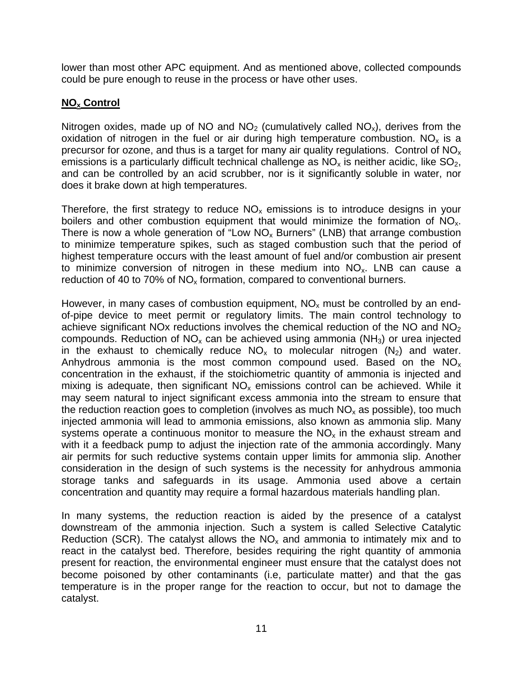lower than most other APC equipment. And as mentioned above, collected compounds could be pure enough to reuse in the process or have other uses.

#### **NOx Control**

Nitrogen oxides, made up of NO and  $NO<sub>2</sub>$  (cumulatively called  $NO<sub>x</sub>$ ), derives from the oxidation of nitrogen in the fuel or air during high temperature combustion. NO<sub>x</sub> is a precursor for ozone, and thus is a target for many air quality regulations. Control of  $NO<sub>x</sub>$ emissions is a particularly difficult technical challenge as  $NO<sub>x</sub>$  is neither acidic, like  $SO<sub>2</sub>$ , and can be controlled by an acid scrubber, nor is it significantly soluble in water, nor does it brake down at high temperatures.

Therefore, the first strategy to reduce  $NO<sub>x</sub>$  emissions is to introduce designs in your boilers and other combustion equipment that would minimize the formation of NO<sub>x</sub>. There is now a whole generation of "Low  $NO<sub>x</sub>$  Burners" (LNB) that arrange combustion to minimize temperature spikes, such as staged combustion such that the period of highest temperature occurs with the least amount of fuel and/or combustion air present to minimize conversion of nitrogen in these medium into  $NO<sub>x</sub>$ . LNB can cause a reduction of 40 to 70% of  $NO<sub>x</sub>$  formation, compared to conventional burners.

However, in many cases of combustion equipment,  $NO<sub>x</sub>$  must be controlled by an endof-pipe device to meet permit or regulatory limits. The main control technology to achieve significant NOx reductions involves the chemical reduction of the NO and NO<sub>2</sub> compounds. Reduction of  $NO<sub>x</sub>$  can be achieved using ammonia ( $NH<sub>3</sub>$ ) or urea injected in the exhaust to chemically reduce  $NO<sub>x</sub>$  to molecular nitrogen  $(N<sub>2</sub>)$  and water. Anhydrous ammonia is the most common compound used. Based on the  $NO<sub>x</sub>$ concentration in the exhaust, if the stoichiometric quantity of ammonia is injected and mixing is adequate, then significant  $NO<sub>x</sub>$  emissions control can be achieved. While it may seem natural to inject significant excess ammonia into the stream to ensure that the reduction reaction goes to completion (involves as much  $NO<sub>x</sub>$  as possible), too much injected ammonia will lead to ammonia emissions, also known as ammonia slip. Many systems operate a continuous monitor to measure the  $NO<sub>x</sub>$  in the exhaust stream and with it a feedback pump to adjust the injection rate of the ammonia accordingly. Many air permits for such reductive systems contain upper limits for ammonia slip. Another consideration in the design of such systems is the necessity for anhydrous ammonia storage tanks and safeguards in its usage. Ammonia used above a certain concentration and quantity may require a formal hazardous materials handling plan.

In many systems, the reduction reaction is aided by the presence of a catalyst downstream of the ammonia injection. Such a system is called Selective Catalytic Reduction (SCR). The catalyst allows the  $NO<sub>x</sub>$  and ammonia to intimately mix and to react in the catalyst bed. Therefore, besides requiring the right quantity of ammonia present for reaction, the environmental engineer must ensure that the catalyst does not become poisoned by other contaminants (i.e, particulate matter) and that the gas temperature is in the proper range for the reaction to occur, but not to damage the catalyst.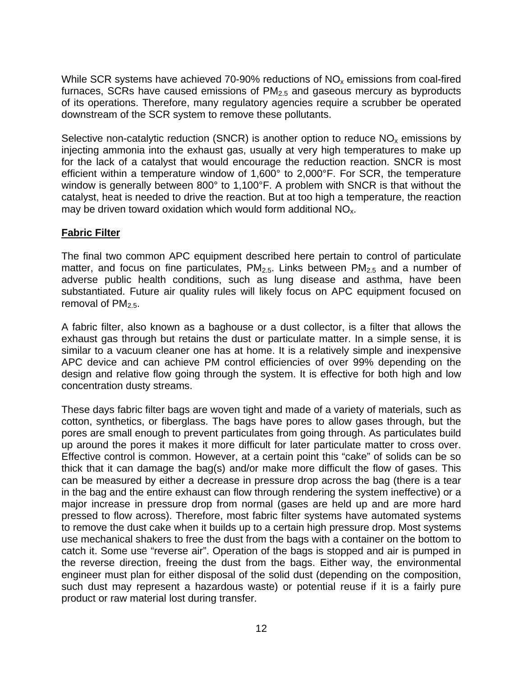While SCR systems have achieved 70-90% reductions of  $NO<sub>x</sub>$  emissions from coal-fired furnaces, SCRs have caused emissions of  $PM<sub>2.5</sub>$  and gaseous mercury as byproducts of its operations. Therefore, many regulatory agencies require a scrubber be operated downstream of the SCR system to remove these pollutants.

Selective non-catalytic reduction (SNCR) is another option to reduce  $NO<sub>x</sub>$  emissions by injecting ammonia into the exhaust gas, usually at very high temperatures to make up for the lack of a catalyst that would encourage the reduction reaction. SNCR is most efficient within a temperature window of 1,600° to 2,000°F. For SCR, the temperature window is generally between 800° to 1,100°F. A problem with SNCR is that without the catalyst, heat is needed to drive the reaction. But at too high a temperature, the reaction may be driven toward oxidation which would form additional  $NO<sub>x</sub>$ .

### **Fabric Filter**

The final two common APC equipment described here pertain to control of particulate matter, and focus on fine particulates,  $PM<sub>2.5</sub>$ . Links between  $PM<sub>2.5</sub>$  and a number of adverse public health conditions, such as lung disease and asthma, have been substantiated. Future air quality rules will likely focus on APC equipment focused on removal of  $PM_{2.5}$ .

A fabric filter, also known as a baghouse or a dust collector, is a filter that allows the exhaust gas through but retains the dust or particulate matter. In a simple sense, it is similar to a vacuum cleaner one has at home. It is a relatively simple and inexpensive APC device and can achieve PM control efficiencies of over 99% depending on the design and relative flow going through the system. It is effective for both high and low concentration dusty streams.

These days fabric filter bags are woven tight and made of a variety of materials, such as cotton, synthetics, or fiberglass. The bags have pores to allow gases through, but the pores are small enough to prevent particulates from going through. As particulates build up around the pores it makes it more difficult for later particulate matter to cross over. Effective control is common. However, at a certain point this "cake" of solids can be so thick that it can damage the bag(s) and/or make more difficult the flow of gases. This can be measured by either a decrease in pressure drop across the bag (there is a tear in the bag and the entire exhaust can flow through rendering the system ineffective) or a major increase in pressure drop from normal (gases are held up and are more hard pressed to flow across). Therefore, most fabric filter systems have automated systems to remove the dust cake when it builds up to a certain high pressure drop. Most systems use mechanical shakers to free the dust from the bags with a container on the bottom to catch it. Some use "reverse air". Operation of the bags is stopped and air is pumped in the reverse direction, freeing the dust from the bags. Either way, the environmental engineer must plan for either disposal of the solid dust (depending on the composition, such dust may represent a hazardous waste) or potential reuse if it is a fairly pure product or raw material lost during transfer.